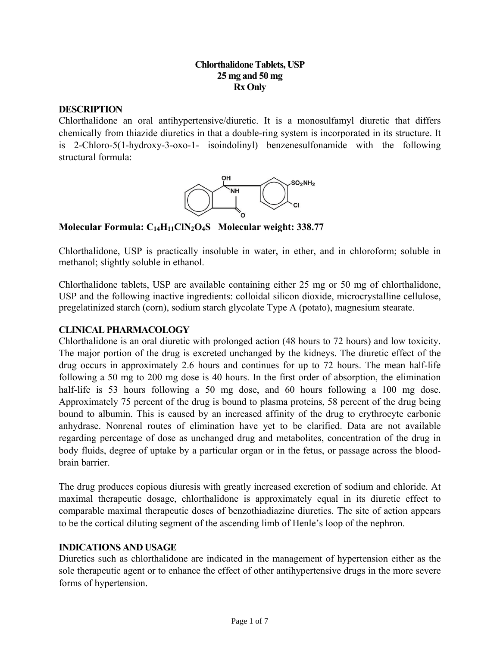### **Chlorthalidone Tablets, USP 25 mg and 50 mg Rx Only**

#### **DESCRIPTION**

Chlorthalidone an oral antihypertensive/diuretic. It is a monosulfamyl diuretic that differs chemically from thiazide diuretics in that a double-ring system is incorporated in its structure. It is 2-Chloro-5(1-hydroxy-3-oxo-1- isoindolinyl) benzenesulfonamide with the following structural formula:



**Molecular Formula: C14H11ClN2O4S Molecular weight: 338.77** 

Chlorthalidone, USP is practically insoluble in water, in ether, and in chloroform; soluble in methanol; slightly soluble in ethanol.

Chlorthalidone tablets, USP are available containing either 25 mg or 50 mg of chlorthalidone, USP and the following inactive ingredients: colloidal silicon dioxide, microcrystalline cellulose, pregelatinized starch (corn), sodium starch glycolate Type A (potato), magnesium stearate.

## **CLINICAL PHARMACOLOGY**

Chlorthalidone is an oral diuretic with prolonged action (48 hours to 72 hours) and low toxicity. The major portion of the drug is excreted unchanged by the kidneys. The diuretic effect of the drug occurs in approximately 2.6 hours and continues for up to 72 hours. The mean half-life following a 50 mg to 200 mg dose is 40 hours. In the first order of absorption, the elimination half-life is 53 hours following a 50 mg dose, and 60 hours following a 100 mg dose. Approximately 75 percent of the drug is bound to plasma proteins, 58 percent of the drug being bound to albumin. This is caused by an increased affinity of the drug to erythrocyte carbonic anhydrase. Nonrenal routes of elimination have yet to be clarified. Data are not available regarding percentage of dose as unchanged drug and metabolites, concentration of the drug in body fluids, degree of uptake by a particular organ or in the fetus, or passage across the bloodbrain barrier.

The drug produces copious diuresis with greatly increased excretion of sodium and chloride. At maximal therapeutic dosage, chlorthalidone is approximately equal in its diuretic effect to comparable maximal therapeutic doses of benzothiadiazine diuretics. The site of action appears to be the cortical diluting segment of the ascending limb of Henle's loop of the nephron.

#### **INDICATIONS AND USAGE**

Diuretics such as chlorthalidone are indicated in the management of hypertension either as the sole therapeutic agent or to enhance the effect of other antihypertensive drugs in the more severe forms of hypertension.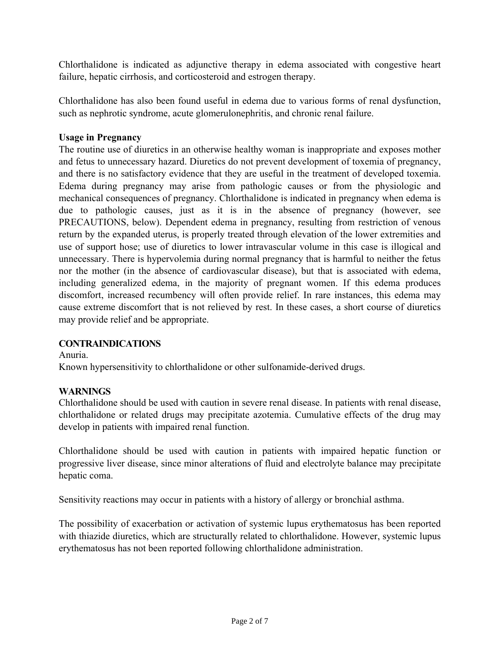Chlorthalidone is indicated as adjunctive therapy in edema associated with congestive heart failure, hepatic cirrhosis, and corticosteroid and estrogen therapy.

Chlorthalidone has also been found useful in edema due to various forms of renal dysfunction, such as nephrotic syndrome, acute glomerulonephritis, and chronic renal failure.

## **Usage in Pregnancy**

The routine use of diuretics in an otherwise healthy woman is inappropriate and exposes mother and fetus to unnecessary hazard. Diuretics do not prevent development of toxemia of pregnancy, and there is no satisfactory evidence that they are useful in the treatment of developed toxemia. Edema during pregnancy may arise from pathologic causes or from the physiologic and mechanical consequences of pregnancy. Chlorthalidone is indicated in pregnancy when edema is due to pathologic causes, just as it is in the absence of pregnancy (however, see [PRECAUTIONS,](#page-2-0) below). Dependent edema in pregnancy, resulting from restriction of venous return by the expanded uterus, is properly treated through elevation of the lower extremities and use of support hose; use of diuretics to lower intravascular volume in this case is illogical and unnecessary. There is hypervolemia during normal pregnancy that is harmful to neither the fetus nor the mother (in the absence of cardiovascular disease), but that is associated with edema, including generalized edema, in the majority of pregnant women. If this edema produces discomfort, increased recumbency will often provide relief. In rare instances, this edema may cause extreme discomfort that is not relieved by rest. In these cases, a short course of diuretics may provide relief and be appropriate.

## **CONTRAINDICATIONS**

Anuria.

Known hypersensitivity to chlorthalidone or other sulfonamide-derived drugs.

## **WARNINGS**

Chlorthalidone should be used with caution in severe renal disease. In patients with renal disease, chlorthalidone or related drugs may precipitate azotemia. Cumulative effects of the drug may develop in patients with impaired renal function.

Chlorthalidone should be used with caution in patients with impaired hepatic function or progressive liver disease, since minor alterations of fluid and electrolyte balance may precipitate hepatic coma.

Sensitivity reactions may occur in patients with a history of allergy or bronchial asthma.

The possibility of exacerbation or activation of systemic lupus erythematosus has been reported with thiazide diuretics, which are structurally related to chlorthalidone. However, systemic lupus erythematosus has not been reported following chlorthalidone administration.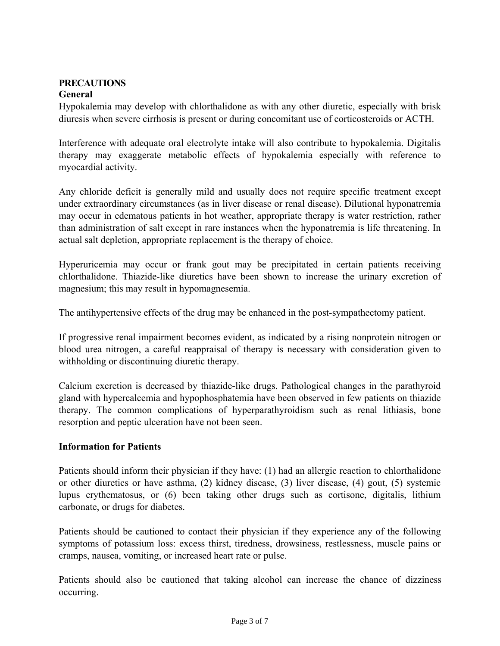#### <span id="page-2-0"></span>**PRECAUTIONS General**

Hypokalemia may develop with chlorthalidone as with any other diuretic, especially with brisk diuresis when severe cirrhosis is present or during concomitant use of corticosteroids or ACTH.

Interference with adequate oral electrolyte intake will also contribute to hypokalemia. Digitalis therapy may exaggerate metabolic effects of hypokalemia especially with reference to myocardial activity.

Any chloride deficit is generally mild and usually does not require specific treatment except under extraordinary circumstances (as in liver disease or renal disease). Dilutional hyponatremia may occur in edematous patients in hot weather, appropriate therapy is water restriction, rather than administration of salt except in rare instances when the hyponatremia is life threatening. In actual salt depletion, appropriate replacement is the therapy of choice.

Hyperuricemia may occur or frank gout may be precipitated in certain patients receiving chlorthalidone. Thiazide-like diuretics have been shown to increase the urinary excretion of magnesium; this may result in hypomagnesemia.

The antihypertensive effects of the drug may be enhanced in the post-sympathectomy patient.

If progressive renal impairment becomes evident, as indicated by a rising nonprotein nitrogen or blood urea nitrogen, a careful reappraisal of therapy is necessary with consideration given to withholding or discontinuing diuretic therapy.

Calcium excretion is decreased by thiazide-like drugs. Pathological changes in the parathyroid gland with hypercalcemia and hypophosphatemia have been observed in few patients on thiazide therapy. The common complications of hyperparathyroidism such as renal lithiasis, bone resorption and peptic ulceration have not been seen.

## **Information for Patients**

Patients should inform their physician if they have: (1) had an allergic reaction to chlorthalidone or other diuretics or have asthma, (2) kidney disease, (3) liver disease, (4) gout, (5) systemic lupus erythematosus, or (6) been taking other drugs such as cortisone, digitalis, lithium carbonate, or drugs for diabetes.

Patients should be cautioned to contact their physician if they experience any of the following symptoms of potassium loss: excess thirst, tiredness, drowsiness, restlessness, muscle pains or cramps, nausea, vomiting, or increased heart rate or pulse.

Patients should also be cautioned that taking alcohol can increase the chance of dizziness occurring.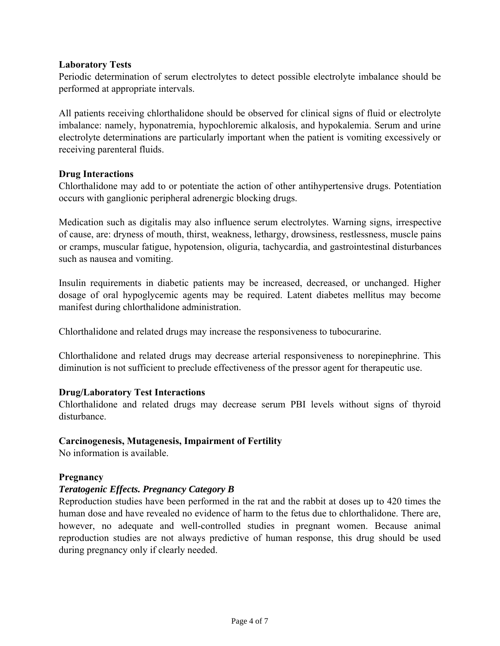#### **Laboratory Tests**

Periodic determination of serum electrolytes to detect possible electrolyte imbalance should be performed at appropriate intervals.

All patients receiving chlorthalidone should be observed for clinical signs of fluid or electrolyte imbalance: namely, hyponatremia, hypochloremic alkalosis, and hypokalemia. Serum and urine electrolyte determinations are particularly important when the patient is vomiting excessively or receiving parenteral fluids.

### **Drug Interactions**

Chlorthalidone may add to or potentiate the action of other antihypertensive drugs. Potentiation occurs with ganglionic peripheral adrenergic blocking drugs.

Medication such as digitalis may also influence serum electrolytes. Warning signs, irrespective of cause, are: dryness of mouth, thirst, weakness, lethargy, drowsiness, restlessness, muscle pains or cramps, muscular fatigue, hypotension, oliguria, tachycardia, and gastrointestinal disturbances such as nausea and vomiting.

Insulin requirements in diabetic patients may be increased, decreased, or unchanged. Higher dosage of oral hypoglycemic agents may be required. Latent diabetes mellitus may become manifest during chlorthalidone administration.

Chlorthalidone and related drugs may increase the responsiveness to tubocurarine.

Chlorthalidone and related drugs may decrease arterial responsiveness to norepinephrine. This diminution is not sufficient to preclude effectiveness of the pressor agent for therapeutic use.

## **Drug/Laboratory Test Interactions**

Chlorthalidone and related drugs may decrease serum PBI levels without signs of thyroid disturbance.

#### **Carcinogenesis, Mutagenesis, Impairment of Fertility**

No information is available.

## **Pregnancy**

## *Teratogenic Effects. Pregnancy Category B*

Reproduction studies have been performed in the rat and the rabbit at doses up to 420 times the human dose and have revealed no evidence of harm to the fetus due to chlorthalidone. There are, however, no adequate and well-controlled studies in pregnant women. Because animal reproduction studies are not always predictive of human response, this drug should be used during pregnancy only if clearly needed.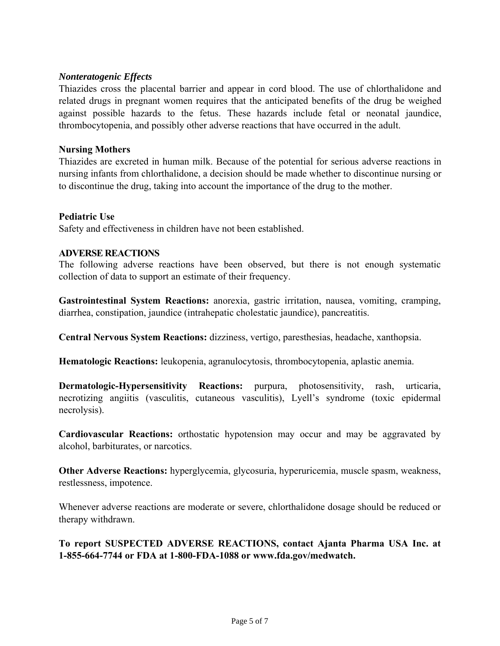### *Nonteratogenic Effects*

Thiazides cross the placental barrier and appear in cord blood. The use of chlorthalidone and related drugs in pregnant women requires that the anticipated benefits of the drug be weighed against possible hazards to the fetus. These hazards include fetal or neonatal jaundice, thrombocytopenia, and possibly other adverse reactions that have occurred in the adult.

#### **Nursing Mothers**

Thiazides are excreted in human milk. Because of the potential for serious adverse reactions in nursing infants from chlorthalidone, a decision should be made whether to discontinue nursing or to discontinue the drug, taking into account the importance of the drug to the mother.

#### **Pediatric Use**

Safety and effectiveness in children have not been established.

#### **ADVERSE REACTIONS**

The following adverse reactions have been observed, but there is not enough systematic collection of data to support an estimate of their frequency.

**Gastrointestinal System Reactions:** anorexia, gastric irritation, nausea, vomiting, cramping, diarrhea, constipation, jaundice (intrahepatic cholestatic jaundice), pancreatitis.

**Central Nervous System Reactions:** dizziness, vertigo, paresthesias, headache, xanthopsia.

**Hematologic Reactions:** leukopenia, agranulocytosis, thrombocytopenia, aplastic anemia.

**Dermatologic-Hypersensitivity Reactions:** purpura, photosensitivity, rash, urticaria, necrotizing angiitis (vasculitis, cutaneous vasculitis), Lyell's syndrome (toxic epidermal necrolysis).

**Cardiovascular Reactions:** orthostatic hypotension may occur and may be aggravated by alcohol, barbiturates, or narcotics.

**Other Adverse Reactions:** hyperglycemia, glycosuria, hyperuricemia, muscle spasm, weakness, restlessness, impotence.

Whenever adverse reactions are moderate or severe, chlorthalidone dosage should be reduced or therapy withdrawn.

**To report SUSPECTED ADVERSE REACTIONS, contact Ajanta Pharma USA Inc. at 1-855-664-7744 or FDA at 1-800-FDA-1088 or www.fda.gov/medwatch.**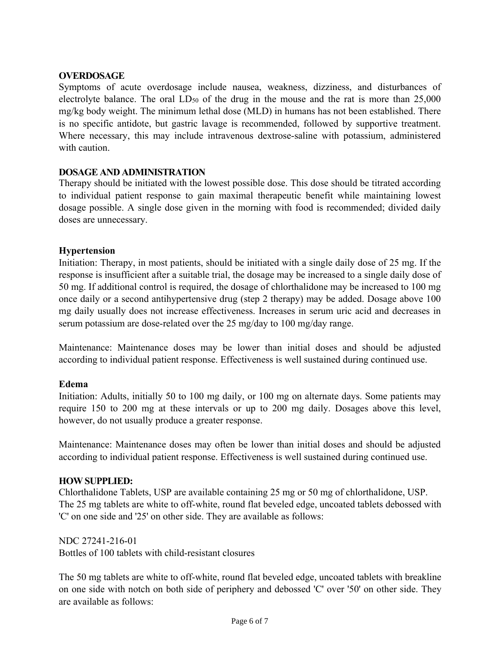### **OVERDOSAGE**

Symptoms of acute overdosage include nausea, weakness, dizziness, and disturbances of electrolyte balance. The oral  $LD_{50}$  of the drug in the mouse and the rat is more than 25,000 mg/kg body weight. The minimum lethal dose (MLD) in humans has not been established. There is no specific antidote, but gastric lavage is recommended, followed by supportive treatment. Where necessary, this may include intravenous dextrose-saline with potassium, administered with caution.

### **DOSAGE AND ADMINISTRATION**

Therapy should be initiated with the lowest possible dose. This dose should be titrated according to individual patient response to gain maximal therapeutic benefit while maintaining lowest dosage possible. A single dose given in the morning with food is recommended; divided daily doses are unnecessary.

### **Hypertension**

Initiation: Therapy, in most patients, should be initiated with a single daily dose of 25 mg. If the response is insufficient after a suitable trial, the dosage may be increased to a single daily dose of 50 mg. If additional control is required, the dosage of chlorthalidone may be increased to 100 mg once daily or a second antihypertensive drug (step 2 therapy) may be added. Dosage above 100 mg daily usually does not increase effectiveness. Increases in serum uric acid and decreases in serum potassium are dose-related over the 25 mg/day to 100 mg/day range.

Maintenance: Maintenance doses may be lower than initial doses and should be adjusted according to individual patient response. Effectiveness is well sustained during continued use.

## **Edema**

Initiation: Adults, initially 50 to 100 mg daily, or 100 mg on alternate days. Some patients may require 150 to 200 mg at these intervals or up to 200 mg daily. Dosages above this level, however, do not usually produce a greater response.

Maintenance: Maintenance doses may often be lower than initial doses and should be adjusted according to individual patient response. Effectiveness is well sustained during continued use.

#### **HOW SUPPLIED:**

Chlorthalidone Tablets, USP are available containing 25 mg or 50 mg of chlorthalidone, USP. The 25 mg tablets are white to off-white, round flat beveled edge, uncoated tablets debossed with 'C' on one side and '25' on other side. They are available as follows:

#### NDC 27241-216-01

Bottles of 100 tablets with child-resistant closures

The 50 mg tablets are white to off-white, round flat beveled edge, uncoated tablets with breakline on one side with notch on both side of periphery and debossed 'C' over '50' on other side. They are available as follows: